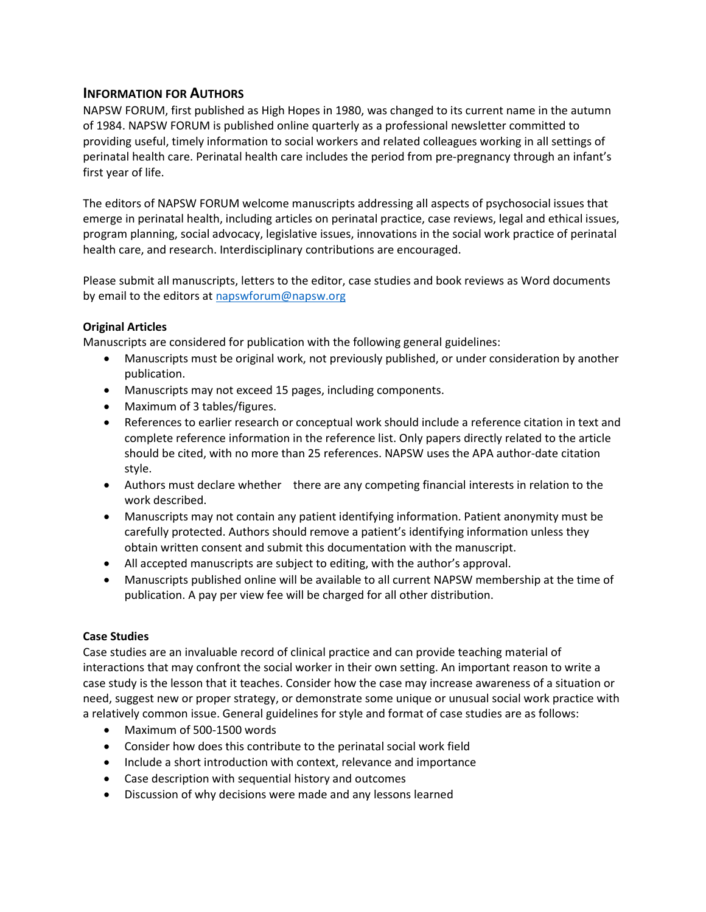# INFORMATION FOR AUTHORS

NAPSW FORUM, first published as High Hopes in 1980, was changed to its current name in the autumn of 1984. NAPSW FORUM is published online quarterly as a professional newsletter committed to providing useful, timely information to social workers and related colleagues working in all settings of perinatal health care. Perinatal health care includes the period from pre-pregnancy through an infant's first year of life.

The editors of NAPSW FORUM welcome manuscripts addressing all aspects of psychosocial issues that emerge in perinatal health, including articles on perinatal practice, case reviews, legal and ethical issues, program planning, social advocacy, legislative issues, innovations in the social work practice of perinatal health care, and research. Interdisciplinary contributions are encouraged.

Please submit all manuscripts, letters to the editor, case studies and book reviews as Word documents by email to the editors at napswforum@napsw.org

## Original Articles

Manuscripts are considered for publication with the following general guidelines:

- Manuscripts must be original work, not previously published, or under consideration by another publication.
- Manuscripts may not exceed 15 pages, including components.
- Maximum of 3 tables/figures.
- References to earlier research or conceptual work should include a reference citation in text and complete reference information in the reference list. Only papers directly related to the article should be cited, with no more than 25 references. NAPSW uses the APA author-date citation style.
- Authors must declare whether there are any competing financial interests in relation to the work described.
- Manuscripts may not contain any patient identifying information. Patient anonymity must be carefully protected. Authors should remove a patient's identifying information unless they obtain written consent and submit this documentation with the manuscript.
- All accepted manuscripts are subject to editing, with the author's approval.
- Manuscripts published online will be available to all current NAPSW membership at the time of publication. A pay per view fee will be charged for all other distribution.

#### Case Studies

Case studies are an invaluable record of clinical practice and can provide teaching material of interactions that may confront the social worker in their own setting. An important reason to write a case study is the lesson that it teaches. Consider how the case may increase awareness of a situation or need, suggest new or proper strategy, or demonstrate some unique or unusual social work practice with a relatively common issue. General guidelines for style and format of case studies are as follows:

- Maximum of 500-1500 words
- Consider how does this contribute to the perinatal social work field
- Include a short introduction with context, relevance and importance
- Case description with sequential history and outcomes
- Discussion of why decisions were made and any lessons learned